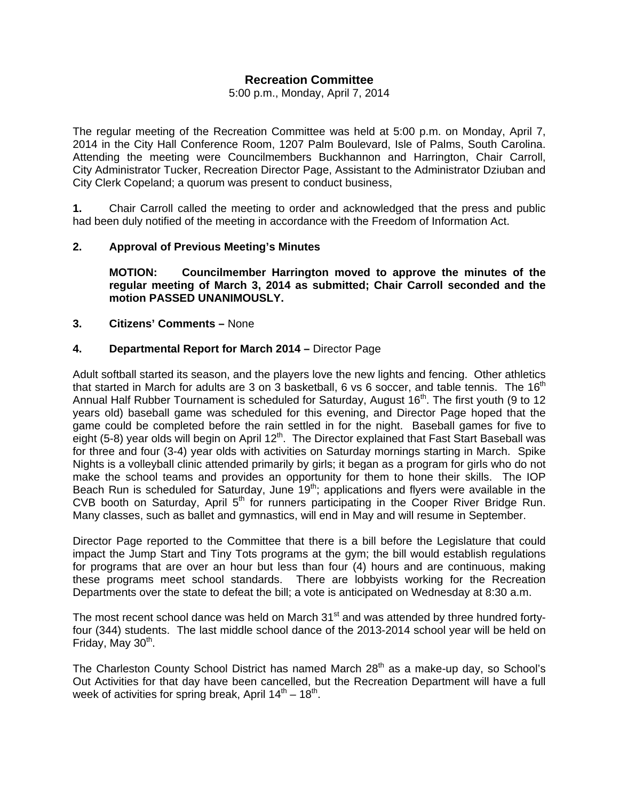# **Recreation Committee**

5:00 p.m., Monday, April 7, 2014

The regular meeting of the Recreation Committee was held at 5:00 p.m. on Monday, April 7, 2014 in the City Hall Conference Room, 1207 Palm Boulevard, Isle of Palms, South Carolina. Attending the meeting were Councilmembers Buckhannon and Harrington, Chair Carroll, City Administrator Tucker, Recreation Director Page, Assistant to the Administrator Dziuban and City Clerk Copeland; a quorum was present to conduct business,

**1.** Chair Carroll called the meeting to order and acknowledged that the press and public had been duly notified of the meeting in accordance with the Freedom of Information Act.

## **2. Approval of Previous Meeting's Minutes**

 **MOTION: Councilmember Harrington moved to approve the minutes of the regular meeting of March 3, 2014 as submitted; Chair Carroll seconded and the motion PASSED UNANIMOUSLY.** 

### **3. Citizens' Comments –** None

## **4. Departmental Report for March 2014 –** Director Page

Adult softball started its season, and the players love the new lights and fencing. Other athletics that started in March for adults are 3 on 3 basketball, 6 vs 6 soccer, and table tennis. The  $16<sup>th</sup>$ Annual Half Rubber Tournament is scheduled for Saturday, August  $16<sup>th</sup>$ . The first youth (9 to 12 years old) baseball game was scheduled for this evening, and Director Page hoped that the game could be completed before the rain settled in for the night. Baseball games for five to eight (5-8) year olds will begin on April  $12<sup>th</sup>$ . The Director explained that Fast Start Baseball was for three and four (3-4) year olds with activities on Saturday mornings starting in March. Spike Nights is a volleyball clinic attended primarily by girls; it began as a program for girls who do not make the school teams and provides an opportunity for them to hone their skills. The IOP Beach Run is scheduled for Saturday, June  $19<sup>th</sup>$ ; applications and flyers were available in the CVB booth on Saturday, April 5<sup>th</sup> for runners participating in the Cooper River Bridge Run. Many classes, such as ballet and gymnastics, will end in May and will resume in September.

Director Page reported to the Committee that there is a bill before the Legislature that could impact the Jump Start and Tiny Tots programs at the gym; the bill would establish regulations for programs that are over an hour but less than four (4) hours and are continuous, making these programs meet school standards. There are lobbyists working for the Recreation Departments over the state to defeat the bill; a vote is anticipated on Wednesday at 8:30 a.m.

The most recent school dance was held on March 31<sup>st</sup> and was attended by three hundred fortyfour (344) students. The last middle school dance of the 2013-2014 school year will be held on Friday, May  $30<sup>th</sup>$ .

The Charleston County School District has named March 28<sup>th</sup> as a make-up day, so School's Out Activities for that day have been cancelled, but the Recreation Department will have a full week of activities for spring break, April  $14<sup>th</sup> - 18<sup>th</sup>$ .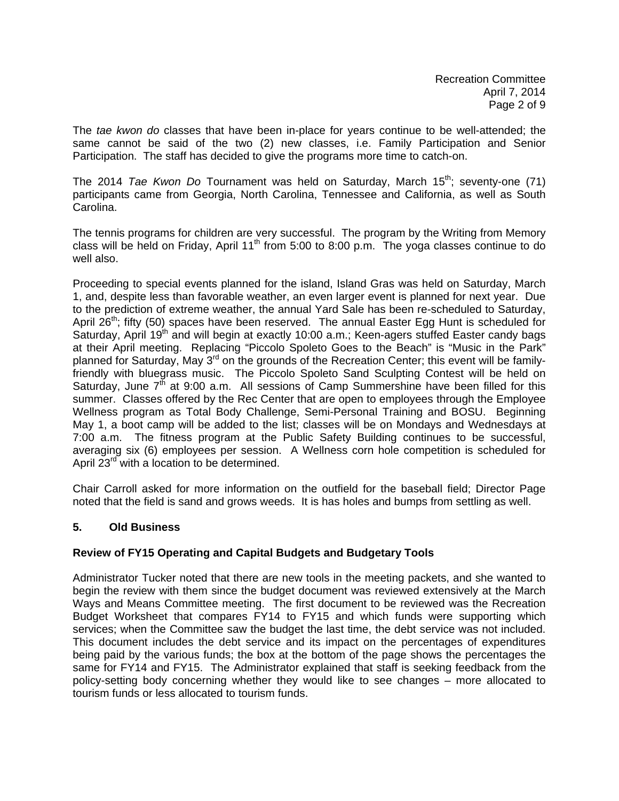The *tae kwon do* classes that have been in-place for years continue to be well-attended; the same cannot be said of the two (2) new classes, i.e. Family Participation and Senior Participation. The staff has decided to give the programs more time to catch-on.

The 2014 *Tae Kwon Do* Tournament was held on Saturday, March 15<sup>th</sup>; seventy-one (71) participants came from Georgia, North Carolina, Tennessee and California, as well as South Carolina.

The tennis programs for children are very successful. The program by the Writing from Memory class will be held on Friday, April 11<sup>th</sup> from 5:00 to 8:00 p.m. The yoga classes continue to do well also.

Proceeding to special events planned for the island, Island Gras was held on Saturday, March 1, and, despite less than favorable weather, an even larger event is planned for next year. Due to the prediction of extreme weather, the annual Yard Sale has been re-scheduled to Saturday, April  $26<sup>th</sup>$ ; fifty (50) spaces have been reserved. The annual Easter Egg Hunt is scheduled for Saturday, April 19<sup>th</sup> and will begin at exactly 10:00 a.m.; Keen-agers stuffed Easter candy bags at their April meeting. Replacing "Piccolo Spoleto Goes to the Beach" is "Music in the Park" planned for Saturday, May  $3^{rd}$  on the grounds of the Recreation Center; this event will be familyfriendly with bluegrass music. The Piccolo Spoleto Sand Sculpting Contest will be held on Saturday, June  $7<sup>th</sup>$  at 9:00 a.m. All sessions of Camp Summershine have been filled for this summer. Classes offered by the Rec Center that are open to employees through the Employee Wellness program as Total Body Challenge, Semi-Personal Training and BOSU. Beginning May 1, a boot camp will be added to the list; classes will be on Mondays and Wednesdays at 7:00 a.m. The fitness program at the Public Safety Building continues to be successful, averaging six (6) employees per session. A Wellness corn hole competition is scheduled for April 23<sup>rd</sup> with a location to be determined.

Chair Carroll asked for more information on the outfield for the baseball field; Director Page noted that the field is sand and grows weeds. It is has holes and bumps from settling as well.

## **5. Old Business**

## **Review of FY15 Operating and Capital Budgets and Budgetary Tools**

Administrator Tucker noted that there are new tools in the meeting packets, and she wanted to begin the review with them since the budget document was reviewed extensively at the March Ways and Means Committee meeting. The first document to be reviewed was the Recreation Budget Worksheet that compares FY14 to FY15 and which funds were supporting which services; when the Committee saw the budget the last time, the debt service was not included. This document includes the debt service and its impact on the percentages of expenditures being paid by the various funds; the box at the bottom of the page shows the percentages the same for FY14 and FY15. The Administrator explained that staff is seeking feedback from the policy-setting body concerning whether they would like to see changes – more allocated to tourism funds or less allocated to tourism funds.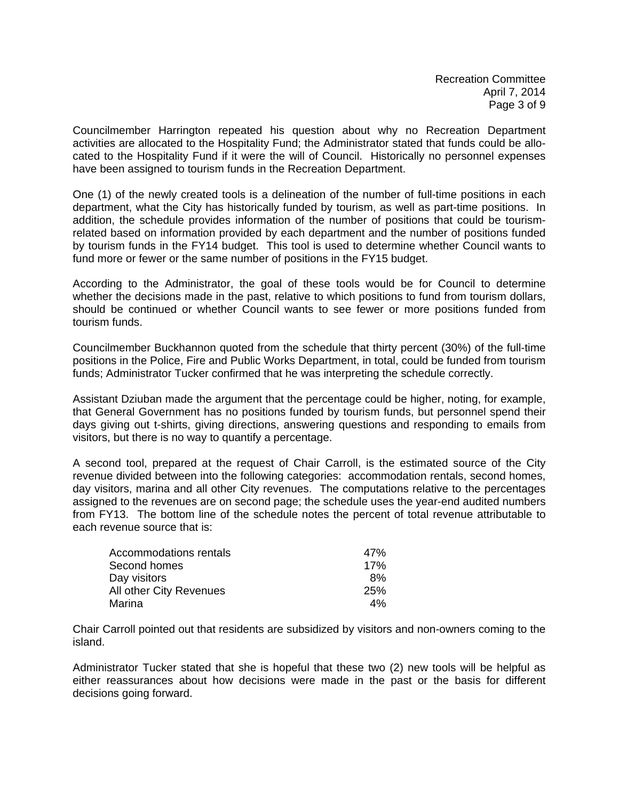Councilmember Harrington repeated his question about why no Recreation Department activities are allocated to the Hospitality Fund; the Administrator stated that funds could be allocated to the Hospitality Fund if it were the will of Council. Historically no personnel expenses have been assigned to tourism funds in the Recreation Department.

One (1) of the newly created tools is a delineation of the number of full-time positions in each department, what the City has historically funded by tourism, as well as part-time positions. In addition, the schedule provides information of the number of positions that could be tourismrelated based on information provided by each department and the number of positions funded by tourism funds in the FY14 budget. This tool is used to determine whether Council wants to fund more or fewer or the same number of positions in the FY15 budget.

According to the Administrator, the goal of these tools would be for Council to determine whether the decisions made in the past, relative to which positions to fund from tourism dollars, should be continued or whether Council wants to see fewer or more positions funded from tourism funds.

Councilmember Buckhannon quoted from the schedule that thirty percent (30%) of the full-time positions in the Police, Fire and Public Works Department, in total, could be funded from tourism funds; Administrator Tucker confirmed that he was interpreting the schedule correctly.

Assistant Dziuban made the argument that the percentage could be higher, noting, for example, that General Government has no positions funded by tourism funds, but personnel spend their days giving out t-shirts, giving directions, answering questions and responding to emails from visitors, but there is no way to quantify a percentage.

A second tool, prepared at the request of Chair Carroll, is the estimated source of the City revenue divided between into the following categories: accommodation rentals, second homes, day visitors, marina and all other City revenues. The computations relative to the percentages assigned to the revenues are on second page; the schedule uses the year-end audited numbers from FY13. The bottom line of the schedule notes the percent of total revenue attributable to each revenue source that is:

| Accommodations rentals  | 47%        |
|-------------------------|------------|
| Second homes            | 17%        |
| Day visitors            | 8%         |
| All other City Revenues | <b>25%</b> |
| Marina                  | 4%         |

Chair Carroll pointed out that residents are subsidized by visitors and non-owners coming to the island.

Administrator Tucker stated that she is hopeful that these two (2) new tools will be helpful as either reassurances about how decisions were made in the past or the basis for different decisions going forward.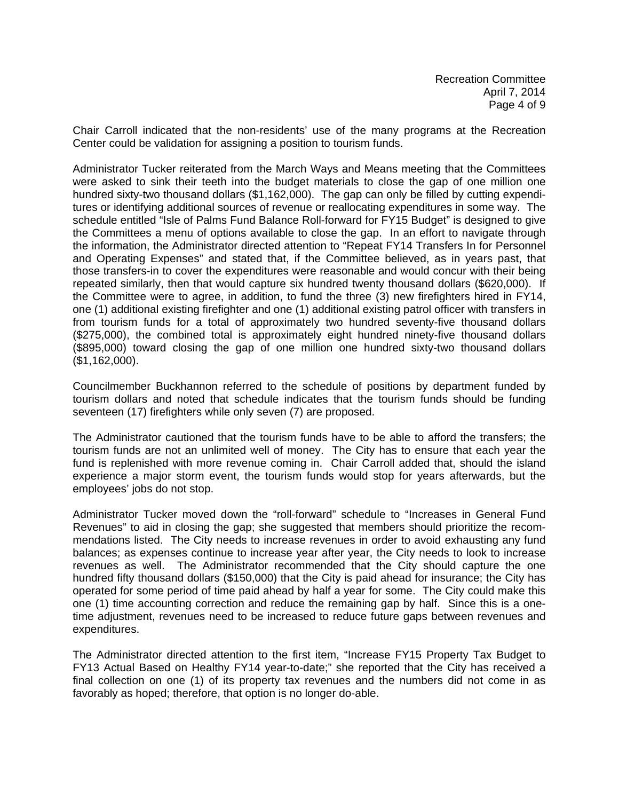Chair Carroll indicated that the non-residents' use of the many programs at the Recreation Center could be validation for assigning a position to tourism funds.

Administrator Tucker reiterated from the March Ways and Means meeting that the Committees were asked to sink their teeth into the budget materials to close the gap of one million one hundred sixty-two thousand dollars (\$1,162,000). The gap can only be filled by cutting expenditures or identifying additional sources of revenue or reallocating expenditures in some way. The schedule entitled "Isle of Palms Fund Balance Roll-forward for FY15 Budget" is designed to give the Committees a menu of options available to close the gap. In an effort to navigate through the information, the Administrator directed attention to "Repeat FY14 Transfers In for Personnel and Operating Expenses" and stated that, if the Committee believed, as in years past, that those transfers-in to cover the expenditures were reasonable and would concur with their being repeated similarly, then that would capture six hundred twenty thousand dollars (\$620,000). If the Committee were to agree, in addition, to fund the three (3) new firefighters hired in FY14, one (1) additional existing firefighter and one (1) additional existing patrol officer with transfers in from tourism funds for a total of approximately two hundred seventy-five thousand dollars (\$275,000), the combined total is approximately eight hundred ninety-five thousand dollars (\$895,000) toward closing the gap of one million one hundred sixty-two thousand dollars (\$1,162,000).

Councilmember Buckhannon referred to the schedule of positions by department funded by tourism dollars and noted that schedule indicates that the tourism funds should be funding seventeen (17) firefighters while only seven (7) are proposed.

The Administrator cautioned that the tourism funds have to be able to afford the transfers; the tourism funds are not an unlimited well of money. The City has to ensure that each year the fund is replenished with more revenue coming in. Chair Carroll added that, should the island experience a major storm event, the tourism funds would stop for years afterwards, but the employees' jobs do not stop.

Administrator Tucker moved down the "roll-forward" schedule to "Increases in General Fund Revenues" to aid in closing the gap; she suggested that members should prioritize the recommendations listed. The City needs to increase revenues in order to avoid exhausting any fund balances; as expenses continue to increase year after year, the City needs to look to increase revenues as well. The Administrator recommended that the City should capture the one hundred fifty thousand dollars (\$150,000) that the City is paid ahead for insurance; the City has operated for some period of time paid ahead by half a year for some. The City could make this one (1) time accounting correction and reduce the remaining gap by half. Since this is a onetime adjustment, revenues need to be increased to reduce future gaps between revenues and expenditures.

The Administrator directed attention to the first item, "Increase FY15 Property Tax Budget to FY13 Actual Based on Healthy FY14 year-to-date;" she reported that the City has received a final collection on one (1) of its property tax revenues and the numbers did not come in as favorably as hoped; therefore, that option is no longer do-able.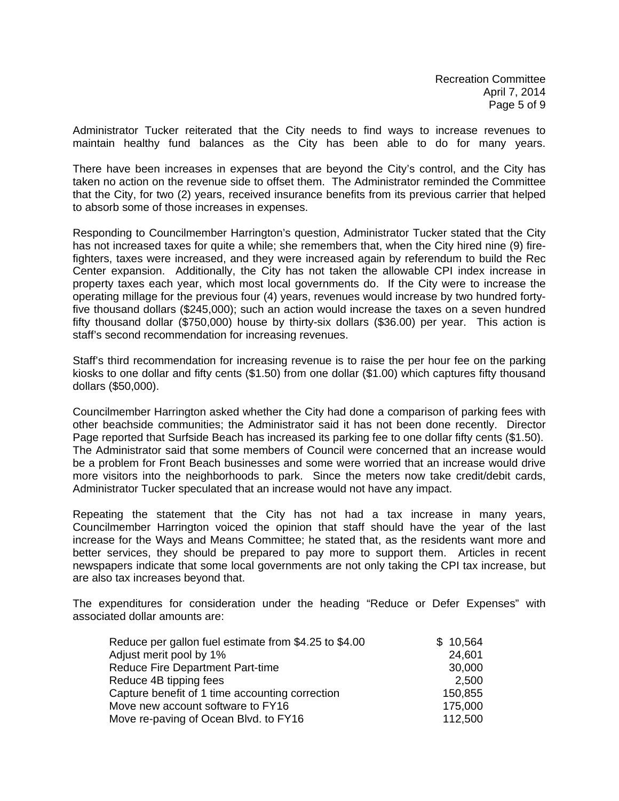Administrator Tucker reiterated that the City needs to find ways to increase revenues to maintain healthy fund balances as the City has been able to do for many years.

There have been increases in expenses that are beyond the City's control, and the City has taken no action on the revenue side to offset them. The Administrator reminded the Committee that the City, for two (2) years, received insurance benefits from its previous carrier that helped to absorb some of those increases in expenses.

Responding to Councilmember Harrington's question, Administrator Tucker stated that the City has not increased taxes for quite a while; she remembers that, when the City hired nine (9) firefighters, taxes were increased, and they were increased again by referendum to build the Rec Center expansion. Additionally, the City has not taken the allowable CPI index increase in property taxes each year, which most local governments do. If the City were to increase the operating millage for the previous four (4) years, revenues would increase by two hundred fortyfive thousand dollars (\$245,000); such an action would increase the taxes on a seven hundred fifty thousand dollar (\$750,000) house by thirty-six dollars (\$36.00) per year. This action is staff's second recommendation for increasing revenues.

Staff's third recommendation for increasing revenue is to raise the per hour fee on the parking kiosks to one dollar and fifty cents (\$1.50) from one dollar (\$1.00) which captures fifty thousand dollars (\$50,000).

Councilmember Harrington asked whether the City had done a comparison of parking fees with other beachside communities; the Administrator said it has not been done recently. Director Page reported that Surfside Beach has increased its parking fee to one dollar fifty cents (\$1.50). The Administrator said that some members of Council were concerned that an increase would be a problem for Front Beach businesses and some were worried that an increase would drive more visitors into the neighborhoods to park. Since the meters now take credit/debit cards, Administrator Tucker speculated that an increase would not have any impact.

Repeating the statement that the City has not had a tax increase in many years, Councilmember Harrington voiced the opinion that staff should have the year of the last increase for the Ways and Means Committee; he stated that, as the residents want more and better services, they should be prepared to pay more to support them. Articles in recent newspapers indicate that some local governments are not only taking the CPI tax increase, but are also tax increases beyond that.

The expenditures for consideration under the heading "Reduce or Defer Expenses" with associated dollar amounts are:

| Reduce per gallon fuel estimate from \$4.25 to \$4.00 | \$10,564 |
|-------------------------------------------------------|----------|
| Adjust merit pool by 1%                               | 24,601   |
| Reduce Fire Department Part-time                      | 30,000   |
| Reduce 4B tipping fees                                | 2,500    |
| Capture benefit of 1 time accounting correction       | 150,855  |
| Move new account software to FY16                     | 175,000  |
| Move re-paving of Ocean Blvd. to FY16                 | 112,500  |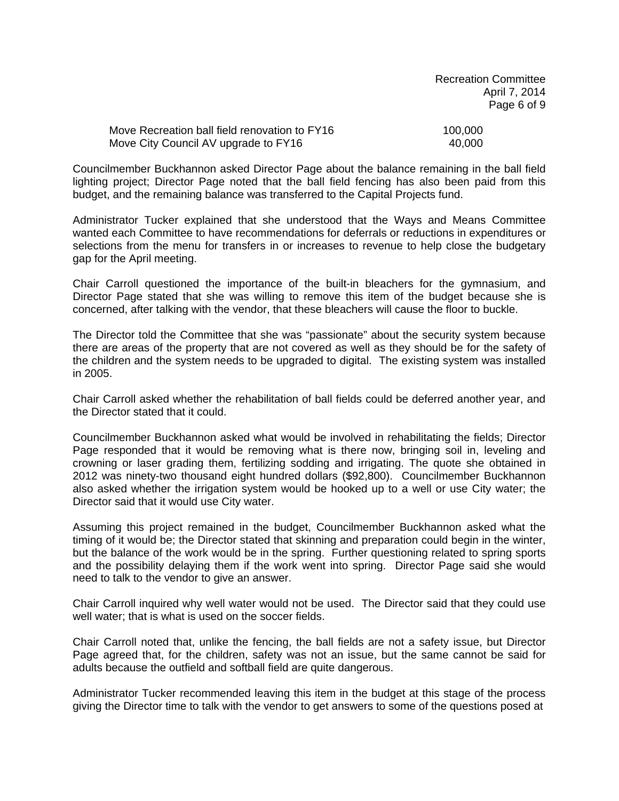| <b>Recreation Committee</b> |
|-----------------------------|
| April 7, 2014               |
| Page 6 of 9                 |

| Move Recreation ball field renovation to FY16 | 100.000 |
|-----------------------------------------------|---------|
| Move City Council AV upgrade to FY16          | 40.000  |

Councilmember Buckhannon asked Director Page about the balance remaining in the ball field lighting project; Director Page noted that the ball field fencing has also been paid from this budget, and the remaining balance was transferred to the Capital Projects fund.

Administrator Tucker explained that she understood that the Ways and Means Committee wanted each Committee to have recommendations for deferrals or reductions in expenditures or selections from the menu for transfers in or increases to revenue to help close the budgetary gap for the April meeting.

Chair Carroll questioned the importance of the built-in bleachers for the gymnasium, and Director Page stated that she was willing to remove this item of the budget because she is concerned, after talking with the vendor, that these bleachers will cause the floor to buckle.

The Director told the Committee that she was "passionate" about the security system because there are areas of the property that are not covered as well as they should be for the safety of the children and the system needs to be upgraded to digital. The existing system was installed in 2005.

Chair Carroll asked whether the rehabilitation of ball fields could be deferred another year, and the Director stated that it could.

Councilmember Buckhannon asked what would be involved in rehabilitating the fields; Director Page responded that it would be removing what is there now, bringing soil in, leveling and crowning or laser grading them, fertilizing sodding and irrigating. The quote she obtained in 2012 was ninety-two thousand eight hundred dollars (\$92,800). Councilmember Buckhannon also asked whether the irrigation system would be hooked up to a well or use City water; the Director said that it would use City water.

Assuming this project remained in the budget, Councilmember Buckhannon asked what the timing of it would be; the Director stated that skinning and preparation could begin in the winter, but the balance of the work would be in the spring. Further questioning related to spring sports and the possibility delaying them if the work went into spring. Director Page said she would need to talk to the vendor to give an answer.

Chair Carroll inquired why well water would not be used. The Director said that they could use well water; that is what is used on the soccer fields.

Chair Carroll noted that, unlike the fencing, the ball fields are not a safety issue, but Director Page agreed that, for the children, safety was not an issue, but the same cannot be said for adults because the outfield and softball field are quite dangerous.

Administrator Tucker recommended leaving this item in the budget at this stage of the process giving the Director time to talk with the vendor to get answers to some of the questions posed at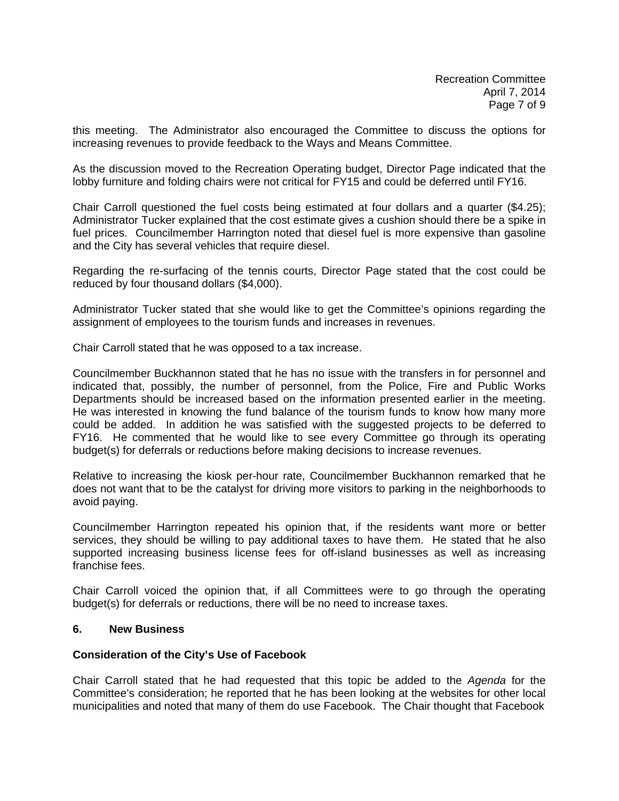this meeting. The Administrator also encouraged the Committee to discuss the options for increasing revenues to provide feedback to the Ways and Means Committee.

As the discussion moved to the Recreation Operating budget, Director Page indicated that the lobby furniture and folding chairs were not critical for FY15 and could be deferred until FY16.

Chair Carroll questioned the fuel costs being estimated at four dollars and a quarter (\$4.25); Administrator Tucker explained that the cost estimate gives a cushion should there be a spike in fuel prices. Councilmember Harrington noted that diesel fuel is more expensive than gasoline and the City has several vehicles that require diesel.

Regarding the re-surfacing of the tennis courts, Director Page stated that the cost could be reduced by four thousand dollars (\$4,000).

Administrator Tucker stated that she would like to get the Committee's opinions regarding the assignment of employees to the tourism funds and increases in revenues.

Chair Carroll stated that he was opposed to a tax increase.

Councilmember Buckhannon stated that he has no issue with the transfers in for personnel and indicated that, possibly, the number of personnel, from the Police, Fire and Public Works Departments should be increased based on the information presented earlier in the meeting. He was interested in knowing the fund balance of the tourism funds to know how many more could be added. In addition he was satisfied with the suggested projects to be deferred to FY16. He commented that he would like to see every Committee go through its operating budget(s) for deferrals or reductions before making decisions to increase revenues.

Relative to increasing the kiosk per-hour rate, Councilmember Buckhannon remarked that he does not want that to be the catalyst for driving more visitors to parking in the neighborhoods to avoid paying.

Councilmember Harrington repeated his opinion that, if the residents want more or better services, they should be willing to pay additional taxes to have them. He stated that he also supported increasing business license fees for off-island businesses as well as increasing franchise fees.

Chair Carroll voiced the opinion that, if all Committees were to go through the operating budget(s) for deferrals or reductions, there will be no need to increase taxes.

### **6. New Business**

### **Consideration of the City's Use of Facebook**

Chair Carroll stated that he had requested that this topic be added to the *Agenda* for the Committee's consideration; he reported that he has been looking at the websites for other local municipalities and noted that many of them do use Facebook. The Chair thought that Facebook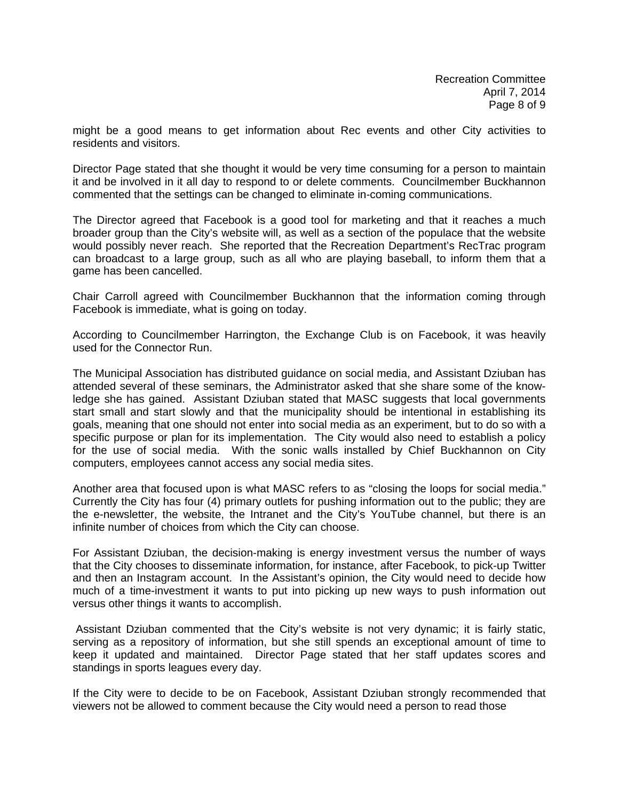might be a good means to get information about Rec events and other City activities to residents and visitors.

Director Page stated that she thought it would be very time consuming for a person to maintain it and be involved in it all day to respond to or delete comments. Councilmember Buckhannon commented that the settings can be changed to eliminate in-coming communications.

The Director agreed that Facebook is a good tool for marketing and that it reaches a much broader group than the City's website will, as well as a section of the populace that the website would possibly never reach. She reported that the Recreation Department's RecTrac program can broadcast to a large group, such as all who are playing baseball, to inform them that a game has been cancelled.

Chair Carroll agreed with Councilmember Buckhannon that the information coming through Facebook is immediate, what is going on today.

According to Councilmember Harrington, the Exchange Club is on Facebook, it was heavily used for the Connector Run.

The Municipal Association has distributed guidance on social media, and Assistant Dziuban has attended several of these seminars, the Administrator asked that she share some of the knowledge she has gained. Assistant Dziuban stated that MASC suggests that local governments start small and start slowly and that the municipality should be intentional in establishing its goals, meaning that one should not enter into social media as an experiment, but to do so with a specific purpose or plan for its implementation. The City would also need to establish a policy for the use of social media. With the sonic walls installed by Chief Buckhannon on City computers, employees cannot access any social media sites.

Another area that focused upon is what MASC refers to as "closing the loops for social media." Currently the City has four (4) primary outlets for pushing information out to the public; they are the e-newsletter, the website, the Intranet and the City's YouTube channel, but there is an infinite number of choices from which the City can choose.

For Assistant Dziuban, the decision-making is energy investment versus the number of ways that the City chooses to disseminate information, for instance, after Facebook, to pick-up Twitter and then an Instagram account. In the Assistant's opinion, the City would need to decide how much of a time-investment it wants to put into picking up new ways to push information out versus other things it wants to accomplish.

 Assistant Dziuban commented that the City's website is not very dynamic; it is fairly static, serving as a repository of information, but she still spends an exceptional amount of time to keep it updated and maintained. Director Page stated that her staff updates scores and standings in sports leagues every day.

If the City were to decide to be on Facebook, Assistant Dziuban strongly recommended that viewers not be allowed to comment because the City would need a person to read those